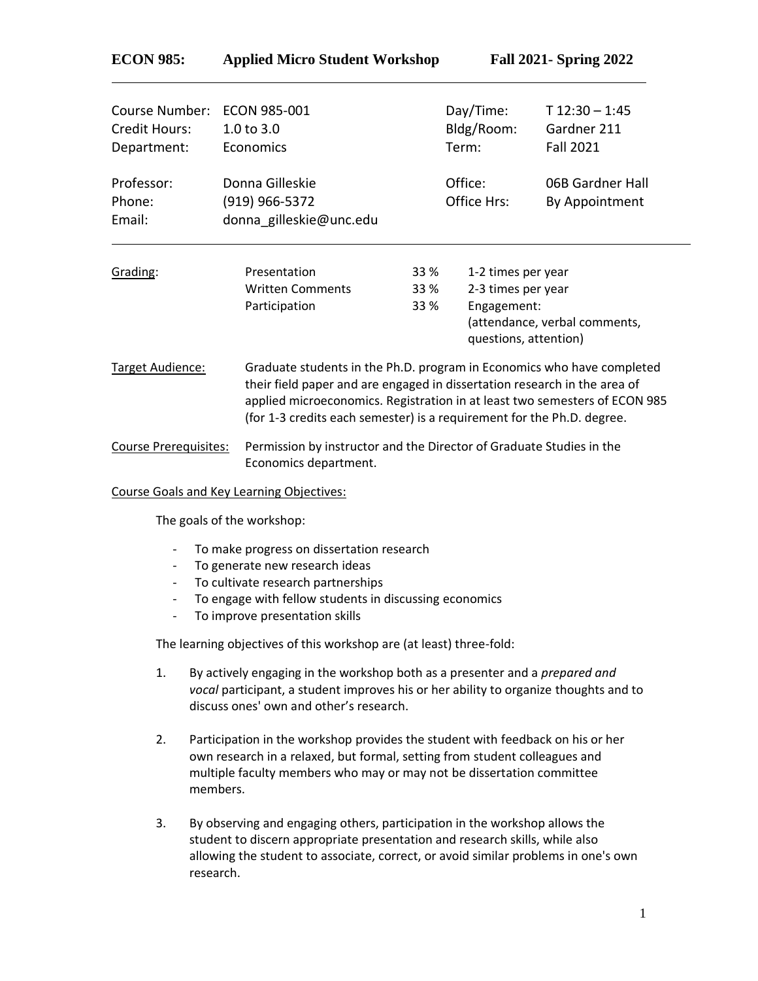## **ECON 985: Applied Micro Student Workshop Fall 2021- Spring 2022**

| Course Number:<br>Credit Hours:<br>Department: | ECON 985-001<br>1.0 to 3.0<br>Economics                      |                                                                                                                                                                                                                                                                                                             | Day/Time:<br>Bldg/Room:<br>Term:                                                                                  | $T$ 12:30 - 1:45<br>Gardner 211<br><b>Fall 2021</b> |  |
|------------------------------------------------|--------------------------------------------------------------|-------------------------------------------------------------------------------------------------------------------------------------------------------------------------------------------------------------------------------------------------------------------------------------------------------------|-------------------------------------------------------------------------------------------------------------------|-----------------------------------------------------|--|
| Professor:<br>Phone:<br>Email:                 | Donna Gilleskie<br>(919) 966-5372<br>donna gilleskie@unc.edu |                                                                                                                                                                                                                                                                                                             | Office:<br>Office Hrs:                                                                                            | 06B Gardner Hall<br>By Appointment                  |  |
| Grading:                                       | Presentation<br><b>Written Comments</b><br>Participation     | <b>33 %</b><br><b>33 %</b><br><b>33 %</b>                                                                                                                                                                                                                                                                   | 1-2 times per year<br>2-3 times per year<br>Engagement:<br>(attendance, verbal comments,<br>questions, attention) |                                                     |  |
| Target Audience:                               |                                                              | Graduate students in the Ph.D. program in Economics who have completed<br>their field paper and are engaged in dissertation research in the area of<br>applied microeconomics. Registration in at least two semesters of ECON 985<br>(for 1-3 credits each semester) is a requirement for the Ph.D. degree. |                                                                                                                   |                                                     |  |
| <b>Course Prerequisites:</b>                   |                                                              | Permission by instructor and the Director of Graduate Studies in the                                                                                                                                                                                                                                        |                                                                                                                   |                                                     |  |

Economics department.

Course Goals and Key Learning Objectives:

The goals of the workshop:

- To make progress on dissertation research
- To generate new research ideas
- To cultivate research partnerships
- To engage with fellow students in discussing economics
- To improve presentation skills

The learning objectives of this workshop are (at least) three-fold:

- 1. By actively engaging in the workshop both as a presenter and a *prepared and vocal* participant, a student improves his or her ability to organize thoughts and to discuss ones' own and other's research.
- 2. Participation in the workshop provides the student with feedback on his or her own research in a relaxed, but formal, setting from student colleagues and multiple faculty members who may or may not be dissertation committee members.
- 3. By observing and engaging others, participation in the workshop allows the student to discern appropriate presentation and research skills, while also allowing the student to associate, correct, or avoid similar problems in one's own research.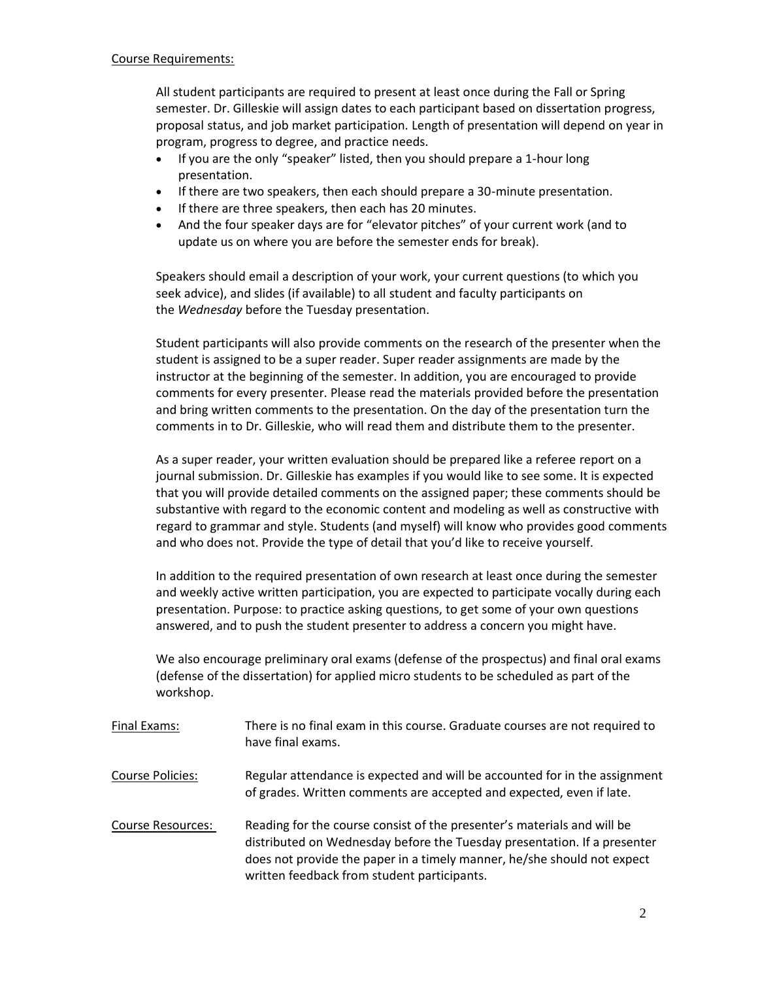All student participants are required to present at least once during the Fall or Spring semester. Dr. Gilleskie will assign dates to each participant based on dissertation progress, proposal status, and job market participation. Length of presentation will depend on year in program, progress to degree, and practice needs.

- If you are the only "speaker" listed, then you should prepare a 1-hour long presentation.
- If there are two speakers, then each should prepare a 30-minute presentation.
- If there are three speakers, then each has 20 minutes.
- And the four speaker days are for "elevator pitches" of your current work (and to update us on where you are before the semester ends for break).

Speakers should email a description of your work, your current questions (to which you seek advice), and slides (if available) to all student and faculty participants on the *Wednesday* before the Tuesday presentation.

Student participants will also provide comments on the research of the presenter when the student is assigned to be a super reader. Super reader assignments are made by the instructor at the beginning of the semester. In addition, you are encouraged to provide comments for every presenter. Please read the materials provided before the presentation and bring written comments to the presentation. On the day of the presentation turn the comments in to Dr. Gilleskie, who will read them and distribute them to the presenter.

As a super reader, your written evaluation should be prepared like a referee report on a journal submission. Dr. Gilleskie has examples if you would like to see some. It is expected that you will provide detailed comments on the assigned paper; these comments should be substantive with regard to the economic content and modeling as well as constructive with regard to grammar and style. Students (and myself) will know who provides good comments and who does not. Provide the type of detail that you'd like to receive yourself.

In addition to the required presentation of own research at least once during the semester and weekly active written participation, you are expected to participate vocally during each presentation. Purpose: to practice asking questions, to get some of your own questions answered, and to push the student presenter to address a concern you might have.

We also encourage preliminary oral exams (defense of the prospectus) and final oral exams (defense of the dissertation) for applied micro students to be scheduled as part of the workshop.

- Final Exams: There is no final exam in this course. Graduate courses are not required to have final exams.
- Course Policies: Regular attendance is expected and will be accounted for in the assignment of grades. Written comments are accepted and expected, even if late.
- Course Resources: Reading for the course consist of the presenter's materials and will be distributed on Wednesday before the Tuesday presentation. If a presenter does not provide the paper in a timely manner, he/she should not expect written feedback from student participants.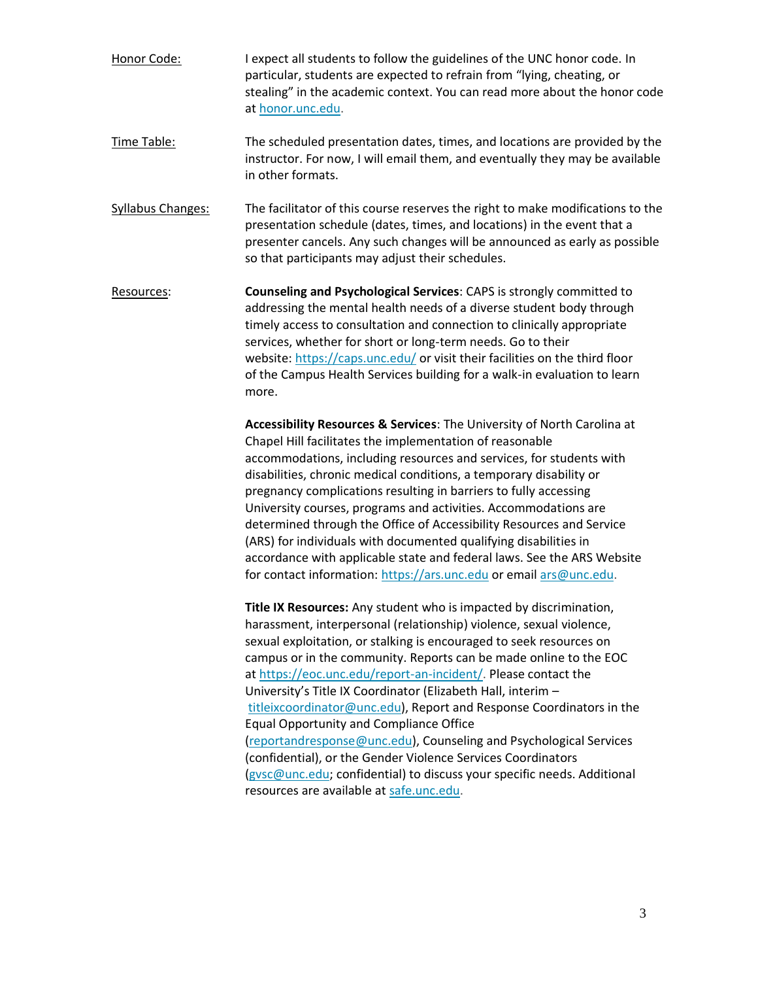- Honor Code: I expect all students to follow the guidelines of the UNC honor code. In particular, students are expected to refrain from "lying, cheating, or stealing" in the academic context. You can read more about the honor code at [honor.unc.edu.](https://studentconduct.unc.edu/honor-system)
- Time Table: The scheduled presentation dates, times, and locations are provided by the instructor. For now, I will email them, and eventually they may be available in other formats.
- Syllabus Changes: The facilitator of this course reserves the right to make modifications to the presentation schedule (dates, times, and locations) in the event that a presenter cancels. Any such changes will be announced as early as possible so that participants may adjust their schedules.
- Resources: **Counseling and Psychological Services**: CAPS is strongly committed to addressing the mental health needs of a diverse student body through timely access to consultation and connection to clinically appropriate services, whether for short or long-term needs. Go to their website: <https://caps.unc.edu/> or visit their facilities on the third floor of the Campus Health Services building for a walk-in evaluation to learn more.

**Accessibility Resources & Services**: The University of North Carolina at Chapel Hill facilitates the implementation of reasonable accommodations, including resources and services, for students with disabilities, chronic medical conditions, a temporary disability or pregnancy complications resulting in barriers to fully accessing University courses, programs and activities. Accommodations are determined through the Office of Accessibility Resources and Service (ARS) for individuals with documented qualifying disabilities in accordance with applicable state and federal laws. See the ARS Website for contact information: [https://ars.unc.edu](https://ars.unc.edu/) or email [ars@unc.edu.](mailto:ars@unc.edu)

**Title IX Resources:** Any student who is impacted by discrimination, harassment, interpersonal (relationship) violence, sexual violence, sexual exploitation, or stalking is encouraged to seek resources on campus or in the community. Reports can be made online to the EOC at [https://eoc.unc.edu/report-an-incident/.](https://eoc.unc.edu/report-an-incident/) Please contact the University's Title IX Coordinator (Elizabeth Hall, interim – [titleixcoordinator@unc.edu\)](mailto:titleixcoordinator@unc.edu), Report and Response Coordinators in the Equal Opportunity and Compliance Office [\(reportandresponse@unc.edu\)](mailto:reportandresponse@unc.edu), Counseling and Psychological Services (confidential), or the Gender Violence Services Coordinators [\(gvsc@unc.edu;](mailto:gvsc@unc.edu) confidential) to discuss your specific needs. Additional resources are available at [safe.unc.edu.](https://safe.unc.edu/)